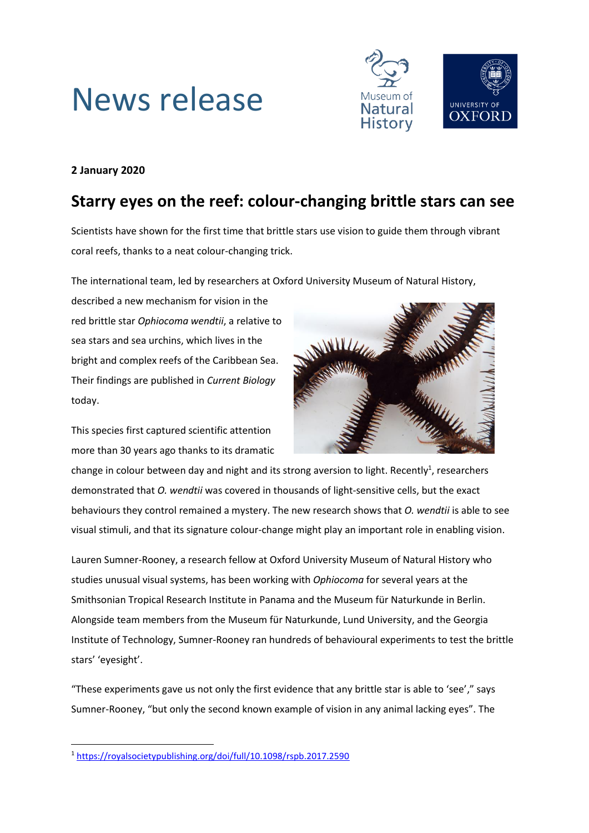



## **2 January 2020**

## **Starry eyes on the reef: colour-changing brittle stars can see**

Scientists have shown for the first time that brittle stars use vision to guide them through vibrant coral reefs, thanks to a neat colour-changing trick.

The international team, led by researchers at Oxford University Museum of Natural History,

described a new mechanism for vision in the red brittle star *Ophiocoma wendtii*, a relative to sea stars and sea urchins, which lives in the bright and complex reefs of the Caribbean Sea. Their findings are published in *Current Biology*  today.

This species first captured scientific attention more than 30 years ago thanks to its dramatic



change in colour between day and night and its strong aversion to light. Recently<sup>1</sup>, researchers demonstrated that *O. wendtii* was covered in thousands of light-sensitive cells, but the exact behaviours they control remained a mystery. The new research shows that *O. wendtii* is able to see visual stimuli, and that its signature colour-change might play an important role in enabling vision.

Lauren Sumner-Rooney, a research fellow at Oxford University Museum of Natural History who studies unusual visual systems, has been working with *Ophiocoma* for several years at the Smithsonian Tropical Research Institute in Panama and the Museum für Naturkunde in Berlin. Alongside team members from the Museum für Naturkunde, Lund University, and the Georgia Institute of Technology, Sumner-Rooney ran hundreds of behavioural experiments to test the brittle stars' 'eyesight'.

"These experiments gave us not only the first evidence that any brittle star is able to 'see'," says Sumner-Rooney, "but only the second known example of vision in any animal lacking eyes". The

**.** 

<sup>1</sup> <https://royalsocietypublishing.org/doi/full/10.1098/rspb.2017.2590>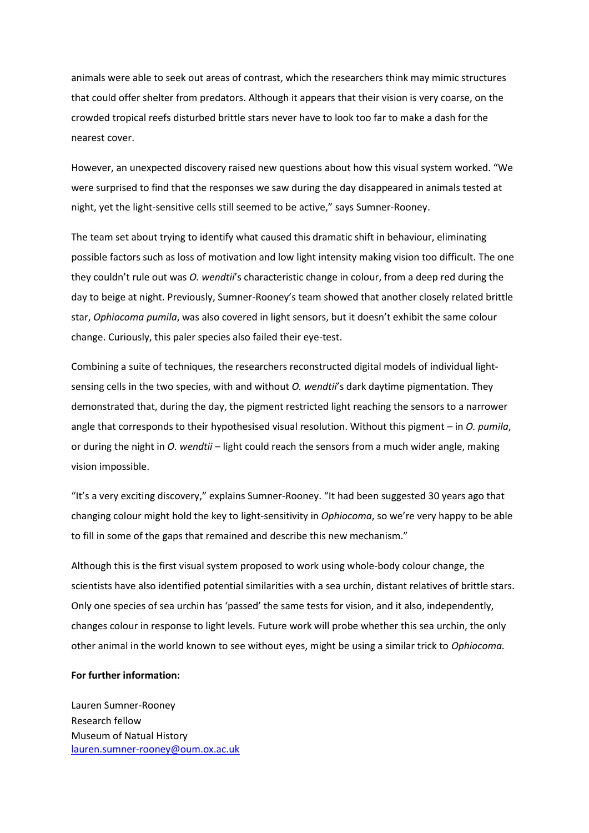animals were able to seek out areas of contrast, which the researchers think may mimic structures that could offer shelter from predators. Although it appears that their vision is very coarse, on the crowded tropical reefs disturbed brittle stars never have to look too far to make a dash for the nearest cover.

However, an unexpected discovery raised new questions about how this visual system worked. "We were surprised to find that the responses we saw during the day disappeared in animals tested at night, yet the light-sensitive cells still seemed to be active," says Sumner-Rooney.

The team set about trying to identify what caused this dramatic shift in behaviour, eliminating possible factors such as loss of motivation and low light intensity making vision too difficult. The one they couldn't rule out was *O. wendtii*'s characteristic change in colour, from a deep red during the day to beige at night. Previously, Sumner-Rooney's team showed that another closely related brittle star, *Ophiocoma pumila*, was also covered in light sensors, but it doesn't exhibit the same colour change. Curiously, this paler species also failed their eye-test.

Combining a suite of techniques, the researchers reconstructed digital models of individual lightsensing cells in the two species, with and without *O. wendtii*'s dark daytime pigmentation. They demonstrated that, during the day, the pigment restricted light reaching the sensors to a narrower angle that corresponds to their hypothesised visual resolution. Without this pigment – in *O. pumila*, or during the night in *O. wendtii* – light could reach the sensors from a much wider angle, making vision impossible.

"It's a very exciting discovery," explains Sumner-Rooney. "It had been suggested 30 years ago that changing colour might hold the key to light-sensitivity in *Ophiocoma*, so we're very happy to be able to fill in some of the gaps that remained and describe this new mechanism."

Although this is the first visual system proposed to work using whole-body colour change, the scientists have also identified potential similarities with a sea urchin, distant relatives of brittle stars. Only one species of sea urchin has 'passed' the same tests for vision, and it also, independently, changes colour in response to light levels. Future work will probe whether this sea urchin, the only other animal in the world known to see without eyes, might be using a similar trick to *Ophiocoma.* 

## **For further information:**

Lauren Sumner-Rooney Research fellow Museum of Natual History [lauren.sumner-rooney@oum.ox.ac.uk](mailto:lauren.sumner-rooney@oum.ox.ac.uk)